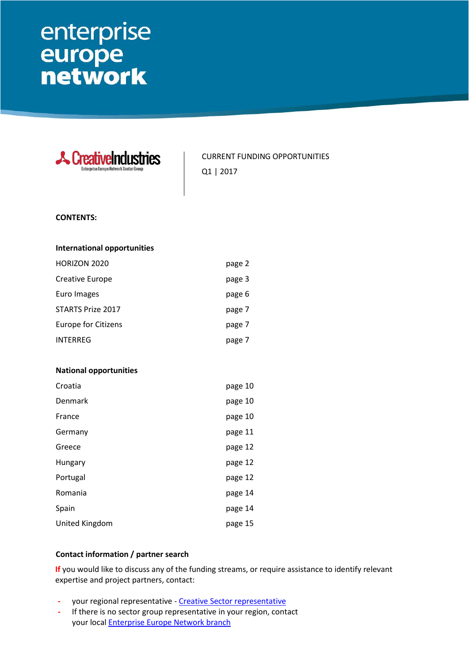# enterprise europe<br>network

| <b>Ureativelndi</b><br>smes<br>interprise Europe Network Sector Group: | <b>CURRENT FUNDING OPPORTUNITIES</b><br>Q1   2017 |
|------------------------------------------------------------------------|---------------------------------------------------|
| <b>CONTENTS:</b>                                                       |                                                   |
| <b>International opportunities</b>                                     |                                                   |
| HORIZON 2020                                                           | page 2                                            |
| Creative Europe                                                        | page 3                                            |
| Euro Images                                                            | page 6                                            |
| <b>STARTS Prize 2017</b>                                               | page 7                                            |
| <b>Europe for Citizens</b>                                             | page 7                                            |
| <b>INTERREG</b>                                                        | page 7                                            |
|                                                                        |                                                   |
| <b>National opportunities</b>                                          |                                                   |
| Croatia                                                                | page 10                                           |
| <b>Denmark</b>                                                         | page 10                                           |
| France                                                                 | page 10                                           |
| Germany                                                                | page 11                                           |
| Greece                                                                 | page 12                                           |
| Hungary                                                                | page 12                                           |
| Portugal                                                               | page 12                                           |
| Romania                                                                | page 14                                           |
| Spain                                                                  | page 14                                           |
| United Kingdom                                                         | page 15                                           |
|                                                                        |                                                   |

#### **Contact information / partner search**

**If** you would like to discuss any of the funding streams, or require assistance to identify relevant expertise and project partners, contact:

- **-** your regional representative [Creative Sector representative](http://een.ec.europa.eu/groups/4726/members)
- **-** If there is no sector group representative in your region, contact your local **Enterprise Europe Network branch**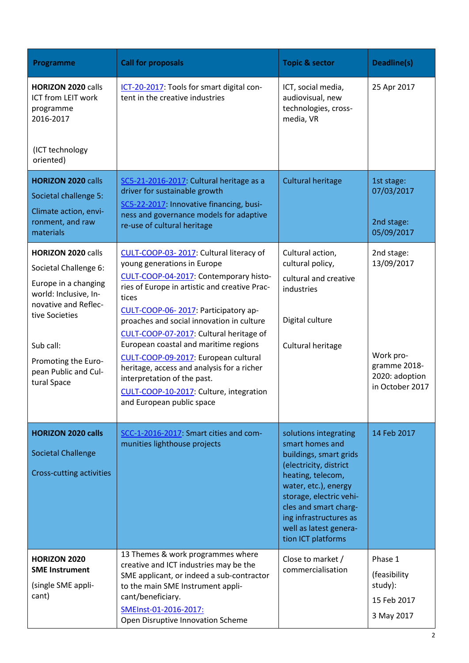| Programme                                                                                                                     | <b>Call for proposals</b>                                                                                                                                                                                                                                                                                | <b>Topic &amp; sector</b>                                                                                                                                                                                                                                               | Deadline(s)                                                     |
|-------------------------------------------------------------------------------------------------------------------------------|----------------------------------------------------------------------------------------------------------------------------------------------------------------------------------------------------------------------------------------------------------------------------------------------------------|-------------------------------------------------------------------------------------------------------------------------------------------------------------------------------------------------------------------------------------------------------------------------|-----------------------------------------------------------------|
| <b>HORIZON 2020 calls</b><br>ICT from LEIT work<br>programme<br>2016-2017<br>(ICT technology<br>oriented)                     | ICT-20-2017: Tools for smart digital con-<br>tent in the creative industries                                                                                                                                                                                                                             | ICT, social media,<br>audiovisual, new<br>technologies, cross-<br>media, VR                                                                                                                                                                                             | 25 Apr 2017                                                     |
| <b>HORIZON 2020 calls</b>                                                                                                     | SC5-21-2016-2017: Cultural heritage as a                                                                                                                                                                                                                                                                 | <b>Cultural heritage</b>                                                                                                                                                                                                                                                | 1st stage:                                                      |
| Societal challenge 5:<br>Climate action, envi-<br>ronment, and raw<br>materials                                               | driver for sustainable growth<br>SC5-22-2017: Innovative financing, busi-<br>ness and governance models for adaptive<br>re-use of cultural heritage                                                                                                                                                      |                                                                                                                                                                                                                                                                         | 07/03/2017<br>2nd stage:<br>05/09/2017                          |
| <b>HORIZON 2020 calls</b>                                                                                                     | CULT-COOP-03-2017: Cultural literacy of                                                                                                                                                                                                                                                                  | Cultural action,<br>cultural policy,                                                                                                                                                                                                                                    | 2nd stage:<br>13/09/2017                                        |
| Societal Challenge 6:<br>Europe in a changing<br>world: Inclusive, In-<br>novative and Reflec-<br>tive Societies<br>Sub call: | young generations in Europe<br>CULT-COOP-04-2017: Contemporary histo-<br>ries of Europe in artistic and creative Prac-<br>tices<br>CULT-COOP-06-2017: Participatory ap-<br>proaches and social innovation in culture<br>CULT-COOP-07-2017: Cultural heritage of<br>European coastal and maritime regions | cultural and creative<br>industries<br>Digital culture                                                                                                                                                                                                                  |                                                                 |
| Promoting the Euro-<br>pean Public and Cul-<br>tural Space                                                                    | CULT-COOP-09-2017: European cultural<br>heritage, access and analysis for a richer<br>interpretation of the past.<br>CULT-COOP-10-2017: Culture, integration<br>and European public space                                                                                                                | Cultural heritage                                                                                                                                                                                                                                                       | Work pro-<br>gramme 2018-<br>2020: adoption<br>in October 2017  |
| <b>HORIZON 2020 calls</b><br><b>Societal Challenge</b><br>Cross-cutting activities                                            | SCC-1-2016-2017 Smart cities and com-<br>munities lighthouse projects                                                                                                                                                                                                                                    | solutions integrating<br>smart homes and<br>buildings, smart grids<br>(electricity, district<br>heating, telecom,<br>water, etc.), energy<br>storage, electric vehi-<br>cles and smart charg-<br>ing infrastructures as<br>well as latest genera-<br>tion ICT platforms | 14 Feb 2017                                                     |
| <b>HORIZON 2020</b><br><b>SME Instrument</b><br>(single SME appli-<br>cant)                                                   | 13 Themes & work programmes where<br>creative and ICT industries may be the<br>SME applicant, or indeed a sub-contractor<br>to the main SME Instrument appli-<br>cant/beneficiary.<br>SMEInst-01-2016-2017:<br>Open Disruptive Innovation Scheme                                                         | Close to market /<br>commercialisation                                                                                                                                                                                                                                  | Phase 1<br>(feasibility<br>study):<br>15 Feb 2017<br>3 May 2017 |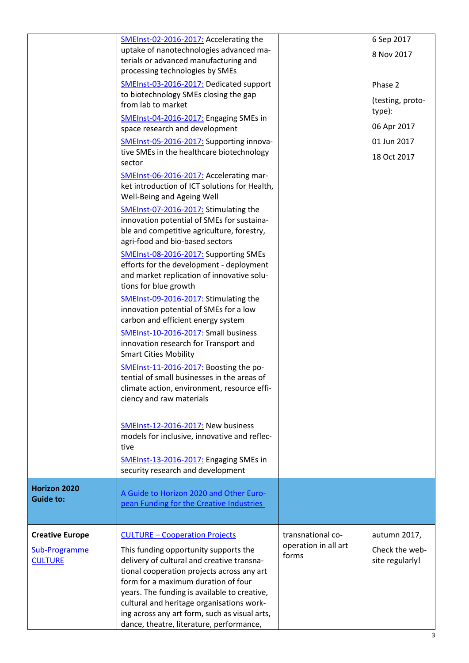|                                                           | SMEInst-02-2016-2017: Accelerating the<br>uptake of nanotechnologies advanced ma-<br>terials or advanced manufacturing and<br>processing technologies by SMEs<br>SMEInst-03-2016-2017: Dedicated support<br>to biotechnology SMEs closing the gap<br>from lab to market<br>SMEInst-04-2016-2017: Engaging SMEs in<br>space research and development<br>SMEInst-05-2016-2017: Supporting innova-<br>tive SMEs in the healthcare biotechnology<br>sector<br>SMEInst-06-2016-2017: Accelerating mar-<br>ket introduction of ICT solutions for Health,<br>Well-Being and Ageing Well<br>SMEInst-07-2016-2017: Stimulating the<br>innovation potential of SMEs for sustaina-<br>ble and competitive agriculture, forestry,<br>agri-food and bio-based sectors<br>SMEInst-08-2016-2017: Supporting SMEs<br>efforts for the development - deployment<br>and market replication of innovative solu-<br>tions for blue growth<br>SMEInst-09-2016-2017: Stimulating the<br>innovation potential of SMEs for a low<br>carbon and efficient energy system<br>SMEInst-10-2016-2017: Small business<br>innovation research for Transport and<br><b>Smart Cities Mobility</b><br>SMEInst-11-2016-2017: Boosting the po-<br>tential of small businesses in the areas of<br>climate action, environment, resource effi- |                                                    | 6 Sep 2017<br>8 Nov 2017<br>Phase 2<br>(testing, proto-<br>type):<br>06 Apr 2017<br>01 Jun 2017<br>18 Oct 2017 |
|-----------------------------------------------------------|--------------------------------------------------------------------------------------------------------------------------------------------------------------------------------------------------------------------------------------------------------------------------------------------------------------------------------------------------------------------------------------------------------------------------------------------------------------------------------------------------------------------------------------------------------------------------------------------------------------------------------------------------------------------------------------------------------------------------------------------------------------------------------------------------------------------------------------------------------------------------------------------------------------------------------------------------------------------------------------------------------------------------------------------------------------------------------------------------------------------------------------------------------------------------------------------------------------------------------------------------------------------------------------------------------|----------------------------------------------------|----------------------------------------------------------------------------------------------------------------|
| <b>Horizon 2020</b><br><b>Guide to:</b>                   | ciency and raw materials<br>SMEInst-12-2016-2017: New business<br>models for inclusive, innovative and reflec-<br>tive<br>SMEInst-13-2016-2017: Engaging SMEs in<br>security research and development<br>A Guide to Horizon 2020 and Other Euro-                                                                                                                                                                                                                                                                                                                                                                                                                                                                                                                                                                                                                                                                                                                                                                                                                                                                                                                                                                                                                                                       |                                                    |                                                                                                                |
|                                                           | pean Funding for the Creative Industries                                                                                                                                                                                                                                                                                                                                                                                                                                                                                                                                                                                                                                                                                                                                                                                                                                                                                                                                                                                                                                                                                                                                                                                                                                                               |                                                    |                                                                                                                |
| <b>Creative Europe</b><br>Sub-Programme<br><b>CULTURE</b> | <b>CULTURE - Cooperation Projects</b><br>This funding opportunity supports the<br>delivery of cultural and creative transna-<br>tional cooperation projects across any art<br>form for a maximum duration of four<br>years. The funding is available to creative,<br>cultural and heritage organisations work-<br>ing across any art form, such as visual arts,<br>dance, theatre, literature, performance,                                                                                                                                                                                                                                                                                                                                                                                                                                                                                                                                                                                                                                                                                                                                                                                                                                                                                            | transnational co-<br>operation in all art<br>forms | autumn 2017,<br>Check the web-<br>site regularly!                                                              |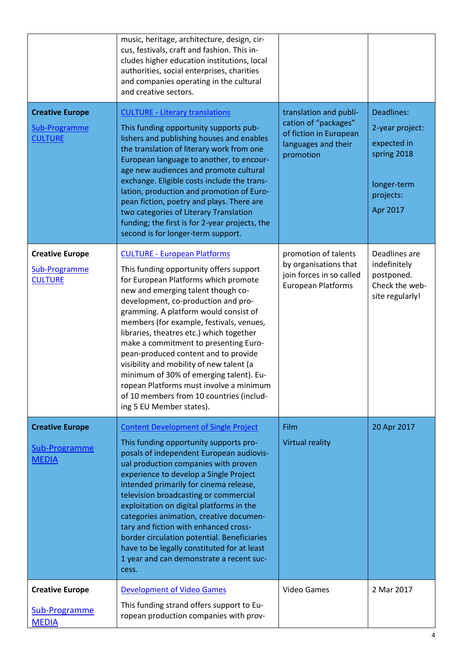|                                                           | music, heritage, architecture, design, cir-<br>cus, festivals, craft and fashion. This in-<br>cludes higher education institutions, local<br>authorities, social enterprises, charities<br>and companies operating in the cultural<br>and creative sectors.                                                                                                                                                                                                                                                                                                                                                                     |                                                                                                              |                                                                                                     |
|-----------------------------------------------------------|---------------------------------------------------------------------------------------------------------------------------------------------------------------------------------------------------------------------------------------------------------------------------------------------------------------------------------------------------------------------------------------------------------------------------------------------------------------------------------------------------------------------------------------------------------------------------------------------------------------------------------|--------------------------------------------------------------------------------------------------------------|-----------------------------------------------------------------------------------------------------|
| <b>Creative Europe</b><br>Sub-Programme<br><b>CULTURE</b> | <b>CULTURE - Literary translations</b><br>This funding opportunity supports pub-<br>lishers and publishing houses and enables<br>the translation of literary work from one<br>European language to another, to encour-<br>age new audiences and promote cultural<br>exchange. Eligible costs include the trans-<br>lation, production and promotion of Euro-<br>pean fiction, poetry and plays. There are<br>two categories of Literary Translation<br>funding; the first is for 2-year projects, the<br>second is for longer-term support.                                                                                     | translation and publi-<br>cation of "packages"<br>of fiction in European<br>languages and their<br>promotion | Deadlines:<br>2-year project:<br>expected in<br>spring 2018<br>longer-term<br>projects:<br>Apr 2017 |
| <b>Creative Europe</b><br>Sub-Programme<br><b>CULTURE</b> | <b>CULTURE - European Platforms</b><br>This funding opportunity offers support<br>for European Platforms which promote<br>new and emerging talent though co-<br>development, co-production and pro-<br>gramming. A platform would consist of<br>members (for example, festivals, venues,<br>libraries, theatres etc.) which together<br>make a commitment to presenting Euro-<br>pean-produced content and to provide<br>visibility and mobility of new talent (a<br>minimum of 30% of emerging talent). Eu-<br>ropean Platforms must involve a minimum<br>of 10 members from 10 countries (includ-<br>ing 5 EU Member states). | promotion of talents<br>by organisations that<br>join forces in so called<br><b>European Platforms</b>       | Deadlines are<br>indefinitely<br>postponed.<br>Check the web-<br>site regularly!                    |
| <b>Creative Europe</b><br>Sub-Programme<br><b>MEDIA</b>   | <b>Content Development of Single Project</b><br>This funding opportunity supports pro-<br>posals of independent European audiovis-<br>ual production companies with proven<br>experience to develop a Single Project<br>intended primarily for cinema release,<br>television broadcasting or commercial<br>exploitation on digital platforms in the<br>categories animation, creative documen-<br>tary and fiction with enhanced cross-<br>border circulation potential. Beneficiaries<br>have to be legally constituted for at least<br>1 year and can demonstrate a recent suc-<br>cess.                                      | Film<br><b>Virtual reality</b>                                                                               | 20 Apr 2017                                                                                         |
| <b>Creative Europe</b><br>Sub-Programme<br><b>MEDIA</b>   | <b>Development of Video Games</b><br>This funding strand offers support to Eu-<br>ropean production companies with prov-                                                                                                                                                                                                                                                                                                                                                                                                                                                                                                        | <b>Video Games</b>                                                                                           | 2 Mar 2017                                                                                          |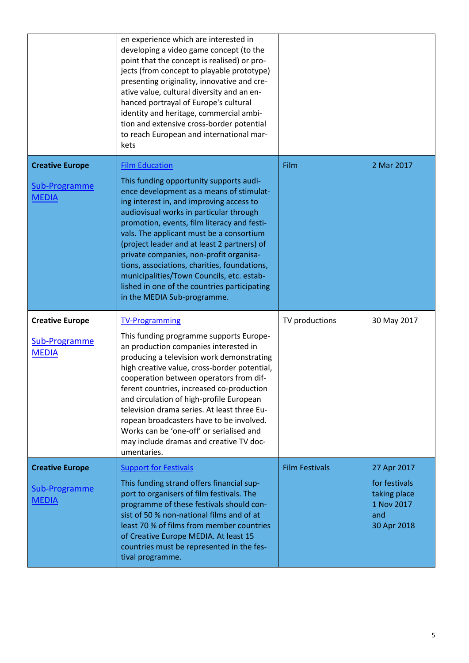|                                                         | en experience which are interested in<br>developing a video game concept (to the<br>point that the concept is realised) or pro-<br>jects (from concept to playable prototype)<br>presenting originality, innovative and cre-<br>ative value, cultural diversity and an en-<br>hanced portrayal of Europe's cultural<br>identity and heritage, commercial ambi-<br>tion and extensive cross-border potential<br>to reach European and international mar-<br>kets                                                                                                      |                       |                                                                                  |
|---------------------------------------------------------|----------------------------------------------------------------------------------------------------------------------------------------------------------------------------------------------------------------------------------------------------------------------------------------------------------------------------------------------------------------------------------------------------------------------------------------------------------------------------------------------------------------------------------------------------------------------|-----------------------|----------------------------------------------------------------------------------|
| <b>Creative Europe</b><br>Sub-Programme<br><b>MEDIA</b> | <b>Film Education</b><br>This funding opportunity supports audi-<br>ence development as a means of stimulat-<br>ing interest in, and improving access to<br>audiovisual works in particular through<br>promotion, events, film literacy and festi-<br>vals. The applicant must be a consortium<br>(project leader and at least 2 partners) of<br>private companies, non-profit organisa-<br>tions, associations, charities, foundations,<br>municipalities/Town Councils, etc. estab-<br>lished in one of the countries participating<br>in the MEDIA Sub-programme. | Film                  | 2 Mar 2017                                                                       |
| <b>Creative Europe</b><br>Sub-Programme<br><b>MEDIA</b> | <b>TV-Programming</b><br>This funding programme supports Europe-<br>an production companies interested in<br>producing a television work demonstrating<br>high creative value, cross-border potential,<br>cooperation between operators from dif-<br>ferent countries, increased co-production<br>and circulation of high-profile European<br>television drama series. At least three Eu-<br>ropean broadcasters have to be involved.<br>Works can be 'one-off' or serialised and<br>may include dramas and creative TV doc-<br>umentaries.                          | TV productions        | 30 May 2017                                                                      |
| <b>Creative Europe</b><br>Sub-Programme<br><b>MEDIA</b> | <b>Support for Festivals</b><br>This funding strand offers financial sup-<br>port to organisers of film festivals. The<br>programme of these festivals should con-<br>sist of 50 % non-national films and of at<br>least 70 % of films from member countries<br>of Creative Europe MEDIA. At least 15<br>countries must be represented in the fes-<br>tival programme.                                                                                                                                                                                               | <b>Film Festivals</b> | 27 Apr 2017<br>for festivals<br>taking place<br>1 Nov 2017<br>and<br>30 Apr 2018 |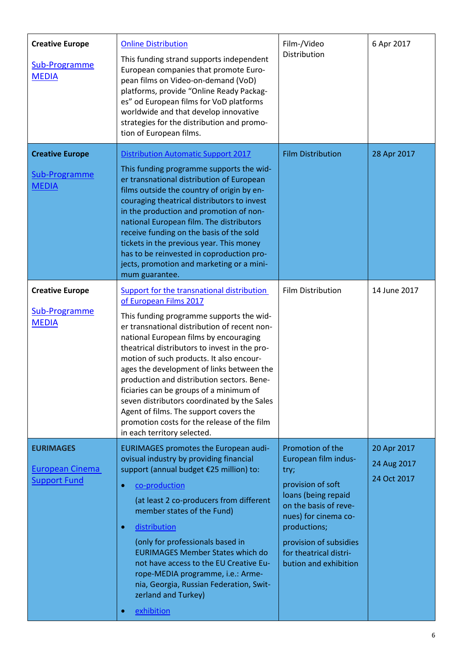| <b>Creative Europe</b><br>Sub-Programme<br><b>MEDIA</b>           | <b>Online Distribution</b><br>This funding strand supports independent<br>European companies that promote Euro-<br>pean films on Video-on-demand (VoD)<br>platforms, provide "Online Ready Packag-<br>es" od European films for VoD platforms<br>worldwide and that develop innovative<br>strategies for the distribution and promo-<br>tion of European films.                                                                                                                                                                                                                                                      | Film-/Video<br>Distribution                                                                                                                                                                                                                | 6 Apr 2017                                |
|-------------------------------------------------------------------|----------------------------------------------------------------------------------------------------------------------------------------------------------------------------------------------------------------------------------------------------------------------------------------------------------------------------------------------------------------------------------------------------------------------------------------------------------------------------------------------------------------------------------------------------------------------------------------------------------------------|--------------------------------------------------------------------------------------------------------------------------------------------------------------------------------------------------------------------------------------------|-------------------------------------------|
| <b>Creative Europe</b><br>Sub-Programme<br><b>MEDIA</b>           | <b>Distribution Automatic Support 2017</b><br>This funding programme supports the wid-<br>er transnational distribution of European<br>films outside the country of origin by en-<br>couraging theatrical distributors to invest<br>in the production and promotion of non-<br>national European film. The distributors<br>receive funding on the basis of the sold<br>tickets in the previous year. This money<br>has to be reinvested in coproduction pro-<br>jects, promotion and marketing or a mini-<br>mum guarantee.                                                                                          | <b>Film Distribution</b>                                                                                                                                                                                                                   | 28 Apr 2017                               |
| <b>Creative Europe</b><br>Sub-Programme<br><b>MEDIA</b>           | Support for the transnational distribution<br>of European Films 2017<br>This funding programme supports the wid-<br>er transnational distribution of recent non-<br>national European films by encouraging<br>theatrical distributors to invest in the pro-<br>motion of such products. It also encour-<br>ages the development of links between the<br>production and distribution sectors. Bene-<br>ficiaries can be groups of a minimum of<br>seven distributors coordinated by the Sales<br>Agent of films. The support covers the<br>promotion costs for the release of the film<br>in each territory selected. | Film Distribution                                                                                                                                                                                                                          | 14 June 2017                              |
| <b>EURIMAGES</b><br><b>European Cinema</b><br><b>Support Fund</b> | <b>EURIMAGES promotes the European audi-</b><br>ovisual industry by providing financial<br>support (annual budget €25 million) to:<br>co-production<br>$\bullet$<br>(at least 2 co-producers from different<br>member states of the Fund)<br>distribution<br>$\bullet$<br>(only for professionals based in<br><b>EURIMAGES Member States which do</b><br>not have access to the EU Creative Eu-<br>rope-MEDIA programme, i.e.: Arme-<br>nia, Georgia, Russian Federation, Swit-<br>zerland and Turkey)<br>exhibition<br>$\bullet$                                                                                    | Promotion of the<br>European film indus-<br>try;<br>provision of soft<br>loans (being repaid<br>on the basis of reve-<br>nues) for cinema co-<br>productions;<br>provision of subsidies<br>for theatrical distri-<br>bution and exhibition | 20 Apr 2017<br>24 Aug 2017<br>24 Oct 2017 |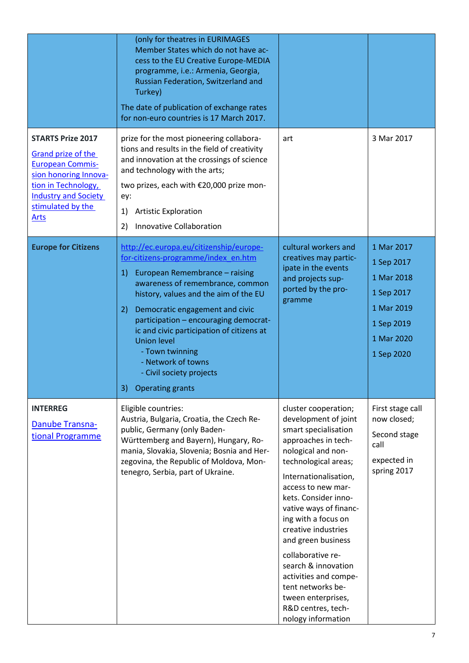|                                                                                                                                                                                              | (only for theatres in EURIMAGES<br>Member States which do not have ac-<br>cess to the EU Creative Europe-MEDIA<br>programme, i.e.: Armenia, Georgia,<br>Russian Federation, Switzerland and<br>Turkey)<br>The date of publication of exchange rates<br>for non-euro countries is 17 March 2017.                                                                                                                                                                |                                                                                                                                                                                                                                                                                                                                                                                                                                                                            |                                                                                                              |
|----------------------------------------------------------------------------------------------------------------------------------------------------------------------------------------------|----------------------------------------------------------------------------------------------------------------------------------------------------------------------------------------------------------------------------------------------------------------------------------------------------------------------------------------------------------------------------------------------------------------------------------------------------------------|----------------------------------------------------------------------------------------------------------------------------------------------------------------------------------------------------------------------------------------------------------------------------------------------------------------------------------------------------------------------------------------------------------------------------------------------------------------------------|--------------------------------------------------------------------------------------------------------------|
| <b>STARTS Prize 2017</b><br>Grand prize of the<br><b>European Commis-</b><br>sion honoring Innova-<br>tion in Technology,<br><b>Industry and Society</b><br>stimulated by the<br><b>Arts</b> | prize for the most pioneering collabora-<br>tions and results in the field of creativity<br>and innovation at the crossings of science<br>and technology with the arts;<br>two prizes, each with €20,000 prize mon-<br>ey:<br><b>Artistic Exploration</b><br>1)<br>Innovative Collaboration<br>2)                                                                                                                                                              | art                                                                                                                                                                                                                                                                                                                                                                                                                                                                        | 3 Mar 2017                                                                                                   |
| <b>Europe for Citizens</b>                                                                                                                                                                   | http://ec.europa.eu/citizenship/europe-<br>for-citizens-programme/index en.htm<br>European Remembrance - raising<br>1)<br>awareness of remembrance, common<br>history, values and the aim of the EU<br>Democratic engagement and civic<br>2)<br>participation - encouraging democrat-<br>ic and civic participation of citizens at<br><b>Union level</b><br>- Town twinning<br>- Network of towns<br>- Civil society projects<br><b>Operating grants</b><br>3) | cultural workers and<br>creatives may partic-<br>ipate in the events<br>and projects sup-<br>ported by the pro-<br>gramme                                                                                                                                                                                                                                                                                                                                                  | 1 Mar 2017<br>1 Sep 2017<br>1 Mar 2018<br>1 Sep 2017<br>1 Mar 2019<br>1 Sep 2019<br>1 Mar 2020<br>1 Sep 2020 |
| <b>INTERREG</b><br>Danube Transna-<br>tional Programme                                                                                                                                       | Eligible countries:<br>Austria, Bulgaria, Croatia, the Czech Re-<br>public, Germany (only Baden-<br>Württemberg and Bayern), Hungary, Ro-<br>mania, Slovakia, Slovenia; Bosnia and Her-<br>zegovina, the Republic of Moldova, Mon-<br>tenegro, Serbia, part of Ukraine.                                                                                                                                                                                        | cluster cooperation;<br>development of joint<br>smart specialisation<br>approaches in tech-<br>nological and non-<br>technological areas;<br>Internationalisation,<br>access to new mar-<br>kets. Consider inno-<br>vative ways of financ-<br>ing with a focus on<br>creative industries<br>and green business<br>collaborative re-<br>search & innovation<br>activities and compe-<br>tent networks be-<br>tween enterprises,<br>R&D centres, tech-<br>nology information | First stage call<br>now closed;<br>Second stage<br>call<br>expected in<br>spring 2017                        |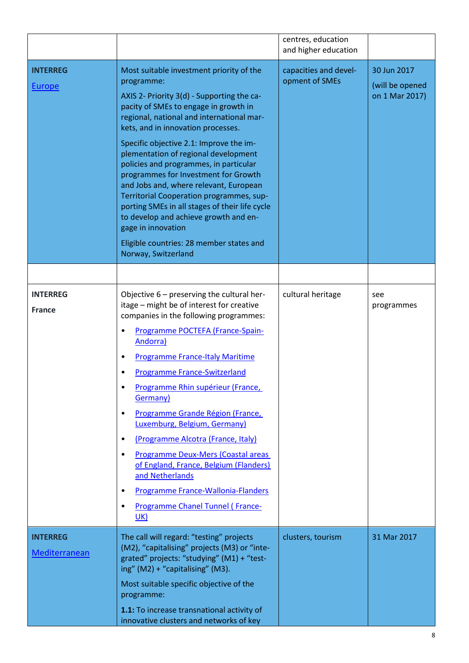|                                  |                                                                                                                                                                                                                                                                                                                                                                                                                                                                                                                                                                                                                                                                                 | centres, education<br>and higher education |                                                  |
|----------------------------------|---------------------------------------------------------------------------------------------------------------------------------------------------------------------------------------------------------------------------------------------------------------------------------------------------------------------------------------------------------------------------------------------------------------------------------------------------------------------------------------------------------------------------------------------------------------------------------------------------------------------------------------------------------------------------------|--------------------------------------------|--------------------------------------------------|
| <b>INTERREG</b><br><b>Europe</b> | Most suitable investment priority of the<br>programme:<br>AXIS 2- Priority 3(d) - Supporting the ca-<br>pacity of SMEs to engage in growth in<br>regional, national and international mar-<br>kets, and in innovation processes.<br>Specific objective 2.1: Improve the im-<br>plementation of regional development<br>policies and programmes, in particular<br>programmes for Investment for Growth<br>and Jobs and, where relevant, European<br>Territorial Cooperation programmes, sup-<br>porting SMEs in all stages of their life cycle<br>to develop and achieve growth and en-<br>gage in innovation<br>Eligible countries: 28 member states and<br>Norway, Switzerland | capacities and devel-<br>opment of SMEs    | 30 Jun 2017<br>(will be opened<br>on 1 Mar 2017) |
|                                  |                                                                                                                                                                                                                                                                                                                                                                                                                                                                                                                                                                                                                                                                                 |                                            |                                                  |
| <b>INTERREG</b><br><b>France</b> | Objective $6$ – preserving the cultural her-<br>itage - might be of interest for creative<br>companies in the following programmes:<br>Programme POCTEFA (France-Spain-<br><b>Andorra</b> )<br><b>Programme France-Italy Maritime</b><br><b>Programme France-Switzerland</b><br>Programme Rhin supérieur (France,<br>Germany)<br>Programme Grande Région (France,<br>$\bullet$<br>Luxemburg, Belgium, Germany)<br>(Programme Alcotra (France, Italy)<br>$\bullet$<br>Programme Deux-Mers (Coastal areas<br>of England, France, Belgium (Flanders)<br>and Netherlands<br>Programme France-Wallonia-Flanders<br>Programme Chanel Tunnel (France-<br>UK)                           | cultural heritage                          | see<br>programmes                                |
| <b>INTERREG</b><br>Mediterranean | The call will regard: "testing" projects<br>(M2), "capitalising" projects (M3) or "inte-<br>grated" projects: "studying" (M1) + "test-<br>ing" (M2) + "capitalising" (M3).<br>Most suitable specific objective of the<br>programme:<br>1.1: To increase transnational activity of<br>innovative clusters and networks of key                                                                                                                                                                                                                                                                                                                                                    | clusters, tourism                          | 31 Mar 2017                                      |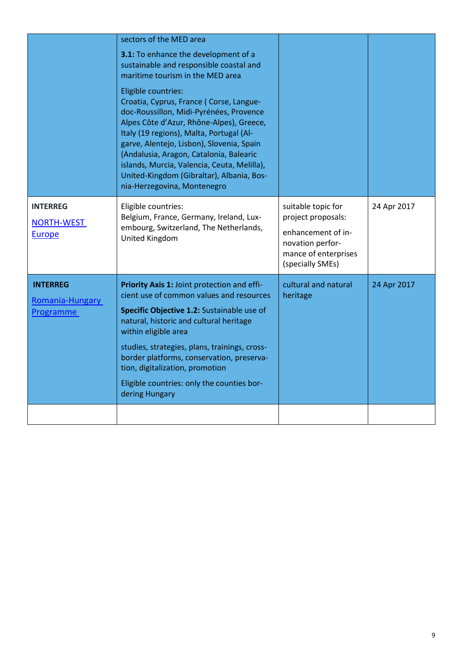|                                                        | sectors of the MED area<br>3.1: To enhance the development of a<br>sustainable and responsible coastal and<br>maritime tourism in the MED area<br>Eligible countries:<br>Croatia, Cyprus, France (Corse, Langue-<br>doc-Roussillon, Midi-Pyrénées, Provence<br>Alpes Côte d'Azur, Rhône-Alpes), Greece,<br>Italy (19 regions), Malta, Portugal (Al-<br>garve, Alentejo, Lisbon), Slovenia, Spain<br>(Andalusia, Aragon, Catalonia, Balearic<br>islands, Murcia, Valencia, Ceuta, Melilla),<br>United-Kingdom (Gibraltar), Albania, Bos-<br>nia-Herzegovina, Montenegro |                                                                                                                                |             |
|--------------------------------------------------------|------------------------------------------------------------------------------------------------------------------------------------------------------------------------------------------------------------------------------------------------------------------------------------------------------------------------------------------------------------------------------------------------------------------------------------------------------------------------------------------------------------------------------------------------------------------------|--------------------------------------------------------------------------------------------------------------------------------|-------------|
| <b>INTERREG</b><br><b>NORTH-WEST</b><br>Europe         | Eligible countries:<br>Belgium, France, Germany, Ireland, Lux-<br>embourg, Switzerland, The Netherlands,<br>United Kingdom                                                                                                                                                                                                                                                                                                                                                                                                                                             | suitable topic for<br>project proposals:<br>enhancement of in-<br>novation perfor-<br>mance of enterprises<br>(specially SMEs) | 24 Apr 2017 |
| <b>INTERREG</b><br>Romania-Hungary<br><b>Programme</b> | Priority Axis 1: Joint protection and effi-<br>cient use of common values and resources<br>Specific Objective 1.2: Sustainable use of<br>natural, historic and cultural heritage<br>within eligible area<br>studies, strategies, plans, trainings, cross-<br>border platforms, conservation, preserva-<br>tion, digitalization, promotion<br>Eligible countries: only the counties bor-<br>dering Hungary                                                                                                                                                              | cultural and natural<br>heritage                                                                                               | 24 Apr 2017 |
|                                                        |                                                                                                                                                                                                                                                                                                                                                                                                                                                                                                                                                                        |                                                                                                                                |             |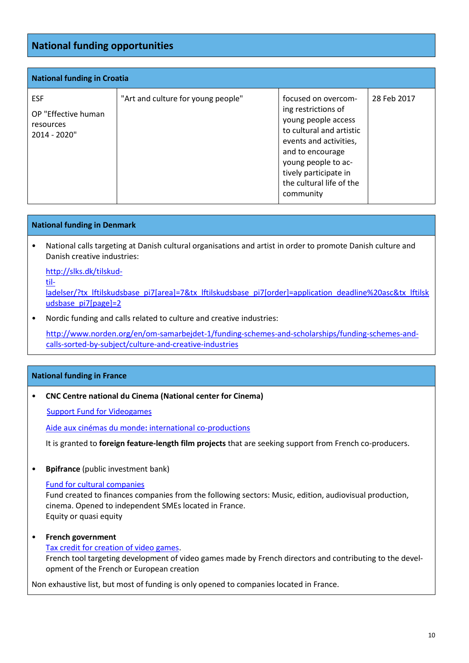# **National funding opportunities**

| <b>National funding in Croatia</b>                             |                                    |                                                                                                                                                                                                                                      |             |
|----------------------------------------------------------------|------------------------------------|--------------------------------------------------------------------------------------------------------------------------------------------------------------------------------------------------------------------------------------|-------------|
| <b>ESF</b><br>OP "Effective human<br>resources<br>2014 - 2020" | "Art and culture for young people" | focused on overcom-<br>ing restrictions of<br>young people access<br>to cultural and artistic<br>events and activities,<br>and to encourage<br>young people to ac-<br>tively participate in<br>the cultural life of the<br>community | 28 Feb 2017 |

#### **National funding in Denmark**

• National calls targeting at Danish cultural organisations and artist in order to promote Danish culture and Danish creative industries:

[http://slks.dk/tilskud](http://slks.dk/tilskud-tilladelser/?tx_lftilskudsbase_pi7%5barea%5d=7&tx_lftilskudsbase_pi7%5border%5d=application_deadline%20asc&tx_lftilskudsbase_pi7%5bpage%5d=2)[til-](http://slks.dk/tilskud-tilladelser/?tx_lftilskudsbase_pi7%5barea%5d=7&tx_lftilskudsbase_pi7%5border%5d=application_deadline%20asc&tx_lftilskudsbase_pi7%5bpage%5d=2)

[ladelser/?tx\\_lftilskudsbase\\_pi7\[area\]=7&tx\\_lftilskudsbase\\_pi7\[order\]=application\\_deadline%20asc&tx\\_lftilsk](http://slks.dk/tilskud-tilladelser/?tx_lftilskudsbase_pi7%5barea%5d=7&tx_lftilskudsbase_pi7%5border%5d=application_deadline%20asc&tx_lftilskudsbase_pi7%5bpage%5d=2) [udsbase\\_pi7\[page\]=2](http://slks.dk/tilskud-tilladelser/?tx_lftilskudsbase_pi7%5barea%5d=7&tx_lftilskudsbase_pi7%5border%5d=application_deadline%20asc&tx_lftilskudsbase_pi7%5bpage%5d=2)

• Nordic funding and calls related to culture and creative industries:

[http://www.norden.org/en/om-samarbejdet-1/funding-schemes-and-scholarships/funding-schemes-and](http://www.norden.org/en/om-samarbejdet-1/funding-schemes-and-scholarships/funding-schemes-and-calls-sorted-by-subject/culture-and-creative-industries)[calls-sorted-by-subject/culture-and-creative-industries](http://www.norden.org/en/om-samarbejdet-1/funding-schemes-and-scholarships/funding-schemes-and-calls-sorted-by-subject/culture-and-creative-industries)

#### **National funding in France**

• **CNC Centre national du Cinema (National center for Cinema)**

[Support Fund for Videogames](http://www.cnc.fr/web/en/support-fund-for-videogames)

Aide aux cinémas du monde**:** [international co-productions](http://www.cnc.fr/web/en/aide-aux-cinemas-du-monde)

It is granted to **foreign feature-length film projects** that are seeking support from French co-producers.

• **Bpifrance** (public investment bank)

#### [Fund for cultural companies](http://www.bpifrance.fr/Bpifrance/Nos-metiers/Fonds-propres/Fonds-directs-Bpifrance/Capital-Developpement-Transmission-Thematique/Entreprises-culturelles-et-patrimoniales)

Fund created to finances companies from the following sectors: Music, edition, audiovisual production, cinema. Opened to independent SMEs located in France. Equity or quasi equity

### • **French government**

[Tax credit for creation of video games.](https://www.service-public.fr/professionnels-entreprises/vosdroits/F31000) French tool targeting development of video games made by French directors and contributing to the development of the French or European creation

Non exhaustive list, but most of funding is only opened to companies located in France.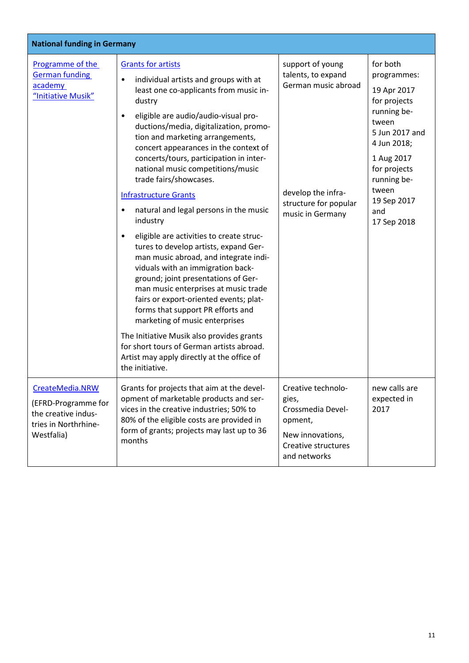| <b>National funding in Germany</b>                                                                  |                                                                                                                                                                                                                                                                                                                                                                                                                                                                                                                                                                                                                                                                                                                                                                                                                                                                                                                                                                                                                                                                 |                                                                                                                                  |                                                                                                                                                                                                            |
|-----------------------------------------------------------------------------------------------------|-----------------------------------------------------------------------------------------------------------------------------------------------------------------------------------------------------------------------------------------------------------------------------------------------------------------------------------------------------------------------------------------------------------------------------------------------------------------------------------------------------------------------------------------------------------------------------------------------------------------------------------------------------------------------------------------------------------------------------------------------------------------------------------------------------------------------------------------------------------------------------------------------------------------------------------------------------------------------------------------------------------------------------------------------------------------|----------------------------------------------------------------------------------------------------------------------------------|------------------------------------------------------------------------------------------------------------------------------------------------------------------------------------------------------------|
| Programme of the<br><b>German funding</b><br>academy<br>"Initiative Musik"                          | <b>Grants for artists</b><br>individual artists and groups with at<br>$\bullet$<br>least one co-applicants from music in-<br>dustry<br>eligible are audio/audio-visual pro-<br>٠<br>ductions/media, digitalization, promo-<br>tion and marketing arrangements,<br>concert appearances in the context of<br>concerts/tours, participation in inter-<br>national music competitions/music<br>trade fairs/showcases.<br><b>Infrastructure Grants</b><br>natural and legal persons in the music<br>$\bullet$<br>industry<br>eligible are activities to create struc-<br>$\bullet$<br>tures to develop artists, expand Ger-<br>man music abroad, and integrate indi-<br>viduals with an immigration back-<br>ground; joint presentations of Ger-<br>man music enterprises at music trade<br>fairs or export-oriented events; plat-<br>forms that support PR efforts and<br>marketing of music enterprises<br>The Initiative Musik also provides grants<br>for short tours of German artists abroad.<br>Artist may apply directly at the office of<br>the initiative. | support of young<br>talents, to expand<br>German music abroad<br>develop the infra-<br>structure for popular<br>music in Germany | for both<br>programmes:<br>19 Apr 2017<br>for projects<br>running be-<br>tween<br>5 Jun 2017 and<br>4 Jun 2018;<br>1 Aug 2017<br>for projects<br>running be-<br>tween<br>19 Sep 2017<br>and<br>17 Sep 2018 |
| CreateMedia.NRW<br>(EFRD-Programme for<br>the creative indus-<br>tries in Northrhine-<br>Westfalia) | Grants for projects that aim at the devel-<br>opment of marketable products and ser-<br>vices in the creative industries; 50% to<br>80% of the eligible costs are provided in<br>form of grants; projects may last up to 36<br>months                                                                                                                                                                                                                                                                                                                                                                                                                                                                                                                                                                                                                                                                                                                                                                                                                           | Creative technolo-<br>gies,<br>Crossmedia Devel-<br>opment,<br>New innovations,<br>Creative structures<br>and networks           | new calls are<br>expected in<br>2017                                                                                                                                                                       |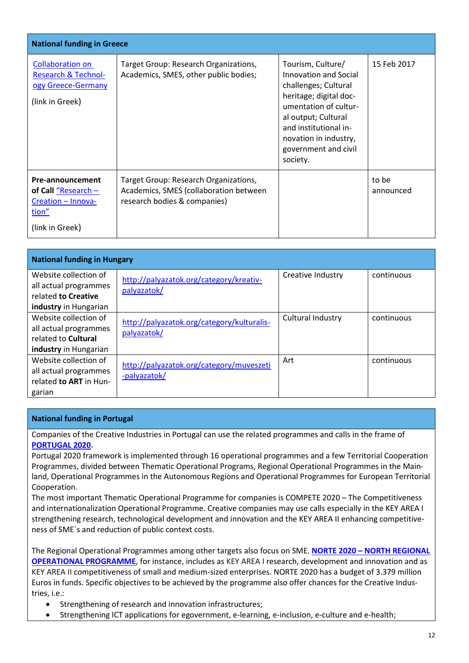| <b>National funding in Greece</b>                                                                      |                                                                                                                 |                                                                                                                                                                                                                                    |                    |
|--------------------------------------------------------------------------------------------------------|-----------------------------------------------------------------------------------------------------------------|------------------------------------------------------------------------------------------------------------------------------------------------------------------------------------------------------------------------------------|--------------------|
| <b>Collaboration on</b><br><b>Research &amp; Technol-</b><br>ogy Greece-Germany<br>(link in Greek)     | Target Group: Research Organizations,<br>Academics, SMES, other public bodies;                                  | Tourism, Culture/<br>Innovation and Social<br>challenges; Cultural<br>heritage; digital doc-<br>umentation of cultur-<br>al output; Cultural<br>and institutional in-<br>novation in industry,<br>government and civil<br>society. | 15 Feb 2017        |
| Pre-announcement<br>of Call $\frac{m}{2}$ Research –<br>Creation - Innova-<br>tion"<br>(link in Greek) | Target Group: Research Organizations,<br>Academics, SMES (collaboration between<br>research bodies & companies) |                                                                                                                                                                                                                                    | to be<br>announced |

| <b>National funding in Hungary</b>                                                             |                                                           |                   |            |  |
|------------------------------------------------------------------------------------------------|-----------------------------------------------------------|-------------------|------------|--|
| Website collection of<br>all actual programmes<br>related to Creative                          | http://palyazatok.org/category/kreativ-<br>palyazatok/    | Creative Industry | continuous |  |
| industry in Hungarian                                                                          |                                                           |                   |            |  |
| Website collection of<br>all actual programmes<br>related to Cultural<br>industry in Hungarian | http://palyazatok.org/category/kulturalis-<br>palyazatok/ | Cultural Industry | continuous |  |
| Website collection of<br>all actual programmes<br>related to ART in Hun-<br>garian             | http://palyazatok.org/category/muveszeti<br>-palyazatok/  | Art               | continuous |  |

#### **National funding in Portugal**

Companies of the Creative Industries in Portugal can use the related programmes and calls in the frame of **[PORTUGAL 2020.](https://poseur.portugal2020.pt/en/portugal-2020/)**

Portugal 2020 framework is implemented through 16 operational programmes and a few Territorial Cooperation Programmes, divided between Thematic Operational Programs, Regional Operational Programmes in the Mainland, Operational Programmes in the Autonomous Regions and Operational Programmes for European Territorial Cooperation.

The most important Thematic Operational Programme for companies is COMPETE 2020 – The Competitiveness and internationalization Operational Programme. Creative companies may use calls especially in the KEY AREA I strengthening research, technological development and innovation and the KEY AREA II enhancing competitiveness of SME´s and reduction of public context costs.

The Regional Operational Programmes among other targets also focus on SME. **NORTE 2020 – [NORTH REGIONAL](http://www.uporto2020.up.pt/en/europa-2020-portugal-2020.php)  [OPERATIONAL PROGRAMME](http://www.uporto2020.up.pt/en/europa-2020-portugal-2020.php)**, for instance, includes as KEY AREA I research, development and innovation and as KEY AREA II competitiveness of small and medium-sized enterprises. NORTE 2020 has a budget of 3.379 million Euros in funds. Specific objectives to be achieved by the programme also offer chances for the Creative Industries, i.e.:

- Strengthening of research and innovation infrastructures;
- Strengthening ICT applications for egovernment, e-learning, e-inclusion, e-culture and e-health;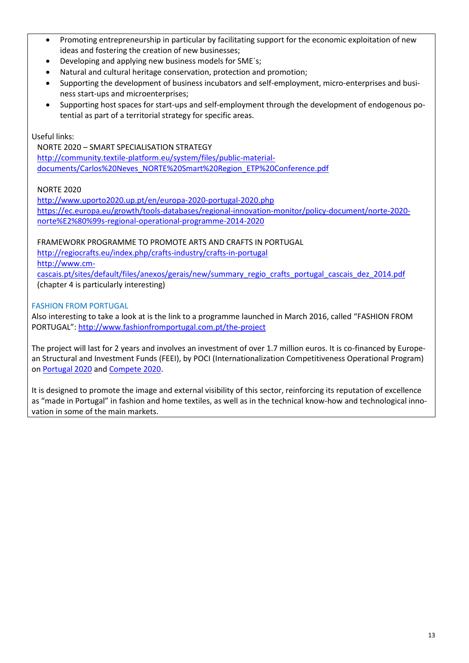- Promoting entrepreneurship in particular by facilitating support for the economic exploitation of new ideas and fostering the creation of new businesses;
- Developing and applying new business models for SME´s;
- Natural and cultural heritage conservation, protection and promotion;
- Supporting the development of business incubators and self-employment, micro-enterprises and business start-ups and microenterprises;
- Supporting host spaces for start-ups and self-employment through the development of endogenous potential as part of a territorial strategy for specific areas.

Useful links:

NORTE 2020 – SMART SPECIALISATION STRATEGY [http://community.textile-platform.eu/system/files/public-material](http://community.textile-platform.eu/system/files/public-material-documents/Carlos%20Neves_NORTE%20Smart%20Region_ETP%20Conference.pdf)[documents/Carlos%20Neves\\_NORTE%20Smart%20Region\\_ETP%20Conference.pdf](http://community.textile-platform.eu/system/files/public-material-documents/Carlos%20Neves_NORTE%20Smart%20Region_ETP%20Conference.pdf)

# NORTE 2020

<http://www.uporto2020.up.pt/en/europa-2020-portugal-2020.php> [https://ec.europa.eu/growth/tools-databases/regional-innovation-monitor/policy-document/norte-2020](https://ec.europa.eu/growth/tools-databases/regional-innovation-monitor/policy-document/norte-2020-norte%E2%80%99s-regional-operational-programme-2014-2020) [norte%E2%80%99s-regional-operational-programme-2014-2020](https://ec.europa.eu/growth/tools-databases/regional-innovation-monitor/policy-document/norte-2020-norte%E2%80%99s-regional-operational-programme-2014-2020)

FRAMEWORK PROGRAMME TO PROMOTE ARTS AND CRAFTS IN PORTUGAL

<http://regiocrafts.eu/index.php/crafts-industry/crafts-in-portugal>

[http://www.cm-](http://www.cm-cascais.pt/sites/default/files/anexos/gerais/new/summary_regio_crafts_portugal_cascais_dez_2014.pdf)

[cascais.pt/sites/default/files/anexos/gerais/new/summary\\_regio\\_crafts\\_portugal\\_cascais\\_dez\\_2014.pdf](http://www.cm-cascais.pt/sites/default/files/anexos/gerais/new/summary_regio_crafts_portugal_cascais_dez_2014.pdf) (chapter 4 is particularly interesting)

# FASHION FROM PORTUGAL

Also interesting to take a look at is the link to a programme launched in March 2016, called "FASHION FROM PORTUGAL": <http://www.fashionfromportugal.com.pt/the-project>

The project will last for 2 years and involves an investment of over 1.7 million euros. It is co-financed by European Structural and Investment Funds (FEEI), by POCI (Internationalization Competitiveness Operational Program) on [Portugal 2020](https://www.portugal2020.pt/Portal2020) an[d Compete 2020.](http://www.poci-compete2020.pt/)

It is designed to promote the image and external visibility of this sector, reinforcing its reputation of excellence as "made in Portugal" in fashion and home textiles, as well as in the technical know-how and technological innovation in some of the main markets.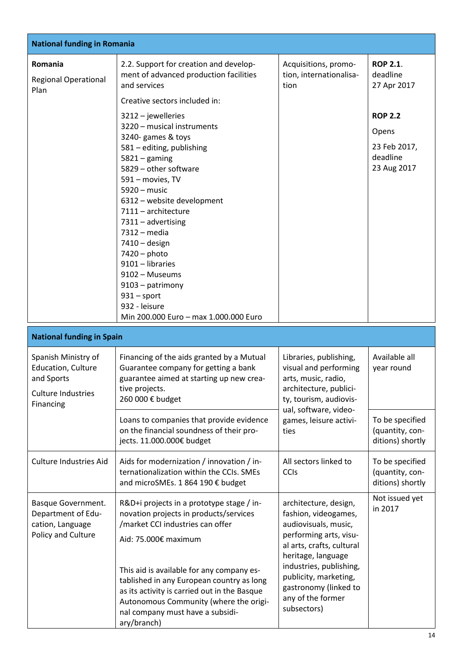| <b>National funding in Romania</b>                                                                |                                                                                                                                                                                                                                                                                                                                                                                                                                                                                                                                                                                                 |                                                                                                                                                                                                                                                                     |                                                                                                                  |  |  |
|---------------------------------------------------------------------------------------------------|-------------------------------------------------------------------------------------------------------------------------------------------------------------------------------------------------------------------------------------------------------------------------------------------------------------------------------------------------------------------------------------------------------------------------------------------------------------------------------------------------------------------------------------------------------------------------------------------------|---------------------------------------------------------------------------------------------------------------------------------------------------------------------------------------------------------------------------------------------------------------------|------------------------------------------------------------------------------------------------------------------|--|--|
| Romania<br><b>Regional Operational</b><br>Plan                                                    | 2.2. Support for creation and develop-<br>ment of advanced production facilities<br>and services<br>Creative sectors included in:<br>$3212 -$ jewelleries<br>3220 - musical instruments<br>3240- games & toys<br>581 - editing, publishing<br>$5821 -$ gaming<br>5829 - other software<br>591 - movies, TV<br>$5920 - music$<br>6312 - website development<br>7111 - architecture<br>7311 - advertising<br>7312 - media<br>$7410 -$ design<br>7420 - photo<br>9101 - libraries<br>9102 - Museums<br>9103 - patrimony<br>$931$ – sport<br>932 - leisure<br>Min 200.000 Euro - max 1.000.000 Euro | Acquisitions, promo-<br>tion, internationalisa-<br>tion                                                                                                                                                                                                             | <b>ROP 2.1.</b><br>deadline<br>27 Apr 2017<br><b>ROP 2.2</b><br>Opens<br>23 Feb 2017,<br>deadline<br>23 Aug 2017 |  |  |
| <b>National funding in Spain</b>                                                                  |                                                                                                                                                                                                                                                                                                                                                                                                                                                                                                                                                                                                 |                                                                                                                                                                                                                                                                     |                                                                                                                  |  |  |
| Spanish Ministry of<br>Education, Culture<br>and Sports<br><b>Culture Industries</b><br>Financing | Financing of the aids granted by a Mutual<br>Guarantee company for getting a bank<br>guarantee aimed at starting up new crea-<br>tive projects.<br>260 000 € budget<br>Loans to companies that provide evidence<br>on the financial soundness of their pro-                                                                                                                                                                                                                                                                                                                                     | Libraries, publishing,<br>visual and performing<br>arts, music, radio,<br>architecture, publici-<br>ty, tourism, audiovis-<br>ual, software, video-<br>games, leisure activi-<br>ties                                                                               | Available all<br>year round<br>To be specified<br>(quantity, con-                                                |  |  |
|                                                                                                   | jects. 11.000.000€ budget                                                                                                                                                                                                                                                                                                                                                                                                                                                                                                                                                                       |                                                                                                                                                                                                                                                                     | ditions) shortly                                                                                                 |  |  |
| <b>Culture Industries Aid</b>                                                                     | Aids for modernization / innovation / in-<br>ternationalization within the CCIs. SMEs<br>and microSMEs. 1 864 190 € budget                                                                                                                                                                                                                                                                                                                                                                                                                                                                      | All sectors linked to<br><b>CCIs</b>                                                                                                                                                                                                                                | To be specified<br>(quantity, con-<br>ditions) shortly                                                           |  |  |
| Basque Government.<br>Department of Edu-<br>cation, Language<br>Policy and Culture                | R&D+i projects in a prototype stage / in-<br>novation projects in products/services<br>/market CCI industries can offer<br>Aid: 75.000€ maximum<br>This aid is available for any company es-<br>tablished in any European country as long<br>as its activity is carried out in the Basque<br>Autonomous Community (where the origi-<br>nal company must have a subsidi-<br>ary/branch)                                                                                                                                                                                                          | architecture, design,<br>fashion, videogames,<br>audiovisuals, music,<br>performing arts, visu-<br>al arts, crafts, cultural<br>heritage, language<br>industries, publishing,<br>publicity, marketing,<br>gastronomy (linked to<br>any of the former<br>subsectors) | Not issued yet<br>in 2017                                                                                        |  |  |